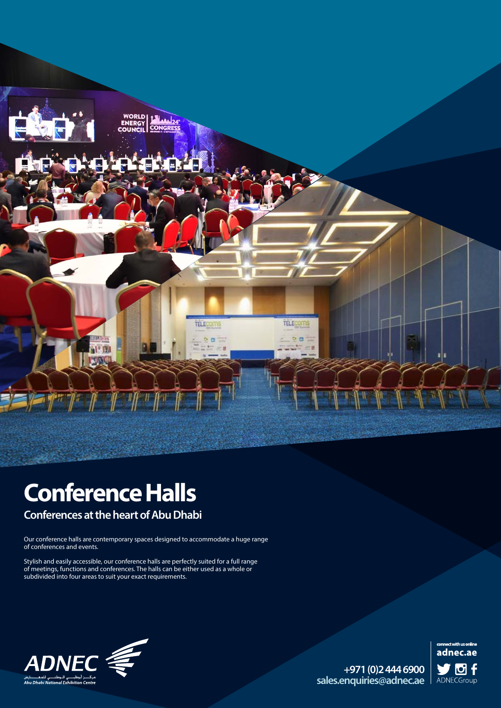

# **Conference Halls**

**Conferences at the heart of Abu Dhabi** 

Our conference halls are contemporary spaces designed to accommodate a huge range of conferences and events.

Stylish and easily accessible, our conference halls are perfectly suited for a full range of meetings, functions and conferences. The halls can be either used as a whole or subdivided into four areas to suit your exact requirements.



**6900 444 2(0) +971** sales.enquiries@adnec.ae